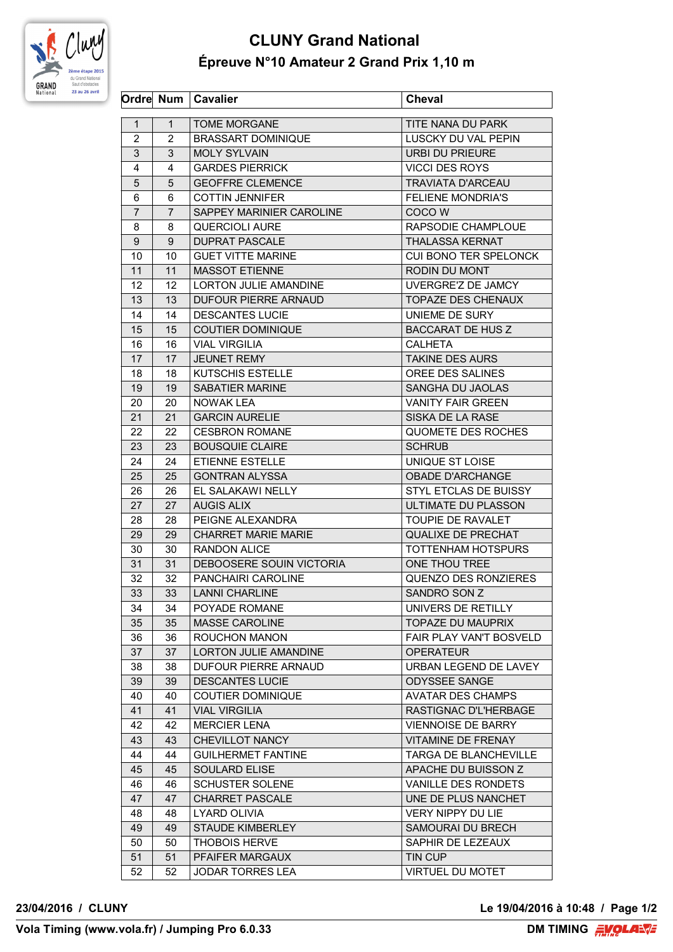

## **CLUNY Grand National Épreuve N°10 Amateur 2 Grand Prix 1,10 m**

|                |                | Ordre Num   Cavalier         | <b>Cheval</b>             |
|----------------|----------------|------------------------------|---------------------------|
| $\mathbf{1}$   | $\mathbf 1$    | <b>TOME MORGANE</b>          | TITE NANA DU PARK         |
| 2              | 2              | <b>BRASSART DOMINIQUE</b>    | LUSCKY DU VAL PEPIN       |
| 3              | 3              | <b>MOLY SYLVAIN</b>          | <b>URBI DU PRIEURE</b>    |
| 4              | 4              | <b>GARDES PIERRICK</b>       | <b>VICCI DES ROYS</b>     |
| 5              | 5              | <b>GEOFFRE CLEMENCE</b>      | <b>TRAVIATA D'ARCEAU</b>  |
| 6              | 6              | <b>COTTIN JENNIFER</b>       | <b>FELIENE MONDRIA'S</b>  |
| $\overline{7}$ | $\overline{7}$ | SAPPEY MARINIER CAROLINE     | COCO W                    |
| 8              | 8              | <b>QUERCIOLI AURE</b>        | RAPSODIE CHAMPLOUE        |
| 9              | 9              | <b>DUPRAT PASCALE</b>        | <b>THALASSA KERNAT</b>    |
| 10             | 10             | <b>GUET VITTE MARINE</b>     | CUI BONO TER SPELONCK     |
| 11             | 11             | <b>MASSOT ETIENNE</b>        | RODIN DU MONT             |
| 12             | 12             | <b>LORTON JULIE AMANDINE</b> | UVERGRE'Z DE JAMCY        |
| 13             | 13             | DUFOUR PIERRE ARNAUD         | <b>TOPAZE DES CHENAUX</b> |
| 14             | 14             | <b>DESCANTES LUCIE</b>       | UNIEME DE SURY            |
| 15             | 15             | <b>COUTIER DOMINIQUE</b>     | <b>BACCARAT DE HUS Z</b>  |
| 16             | 16             | <b>VIAL VIRGILIA</b>         | <b>CALHETA</b>            |
| 17             | 17             | <b>JEUNET REMY</b>           | <b>TAKINE DES AURS</b>    |
| 18             | 18             | <b>KUTSCHIS ESTELLE</b>      | OREE DES SALINES          |
| 19             | 19             | <b>SABATIER MARINE</b>       | SANGHA DU JAOLAS          |
| 20             | 20             | <b>NOWAK LEA</b>             | <b>VANITY FAIR GREEN</b>  |
| 21             | 21             | <b>GARCIN AURELIE</b>        | SISKA DE LA RASE          |
| 22             | 22             | <b>CESBRON ROMANE</b>        | QUOMETE DES ROCHES        |
|                |                | <b>BOUSQUIE CLAIRE</b>       |                           |
| 23             | 23             |                              | <b>SCHRUB</b>             |
| 24             | 24             | ETIENNE ESTELLE              | UNIQUE ST LOISE           |
| 25             | 25             | <b>GONTRAN ALYSSA</b>        | <b>OBADE D'ARCHANGE</b>   |
| 26             | 26             | EL SALAKAWI NELLY            | STYL ETCLAS DE BUISSY     |
| 27             | 27             | <b>AUGIS ALIX</b>            | ULTIMATE DU PLASSON       |
| 28             | 28             | PEIGNE ALEXANDRA             | TOUPIE DE RAVALET         |
| 29             | 29             | <b>CHARRET MARIE MARIE</b>   | <b>QUALIXE DE PRECHAT</b> |
| 30             | 30             | <b>RANDON ALICE</b>          | TOTTENHAM HOTSPURS        |
| 31             | 31             | DEBOOSERE SOUIN VICTORIA     | ONE THOU TREE             |
| 32             | 32             | PANCHAIRI CAROLINE           | QUENZO DES RONZIERES      |
| 33             | 33             | <b>LANNI CHARLINE</b>        | SANDRO SON Z              |
| 34             | 34             | POYADE ROMANE                | UNIVERS DE RETILLY        |
| 35             | 35             | <b>MASSE CAROLINE</b>        | <b>TOPAZE DU MAUPRIX</b>  |
| 36             | 36             | <b>ROUCHON MANON</b>         | FAIR PLAY VAN'T BOSVELD   |
| 37             | 37             | LORTON JULIE AMANDINE        | <b>OPERATEUR</b>          |
| 38             | 38             | DUFOUR PIERRE ARNAUD         | URBAN LEGEND DE LAVEY     |
| 39             | 39             | <b>DESCANTES LUCIE</b>       | <b>ODYSSEE SANGE</b>      |
| 40             | 40             | <b>COUTIER DOMINIQUE</b>     | <b>AVATAR DES CHAMPS</b>  |
| 41             | 41             | <b>VIAL VIRGILIA</b>         | RASTIGNAC D'L'HERBAGE     |
| 42             | 42             | <b>MERCIER LENA</b>          | <b>VIENNOISE DE BARRY</b> |
| 43             | 43             | CHEVILLOT NANCY              | VITAMINE DE FRENAY        |
| 44             | 44             | <b>GUILHERMET FANTINE</b>    | TARGA DE BLANCHEVILLE     |
| 45             | 45             | <b>SOULARD ELISE</b>         | APACHE DU BUISSON Z       |
| 46             | 46             | <b>SCHUSTER SOLENE</b>       | VANILLE DES RONDETS       |
| 47             | 47             | <b>CHARRET PASCALE</b>       | UNE DE PLUS NANCHET       |
| 48             | 48             | LYARD OLIVIA                 | <b>VERY NIPPY DU LIE</b>  |
| 49             | 49             | <b>STAUDE KIMBERLEY</b>      | SAMOURAI DU BRECH         |
| 50             | 50             | <b>THOBOIS HERVE</b>         | SAPHIR DE LEZEAUX         |
| 51             | 51             | PFAIFER MARGAUX              | TIN CUP                   |
| 52             | 52             | JODAR TORRES LEA             | <b>VIRTUEL DU MOTET</b>   |

**23/04/2016 / CLUNY Le 19/04/2016 à 10:48 / Page 1/2**